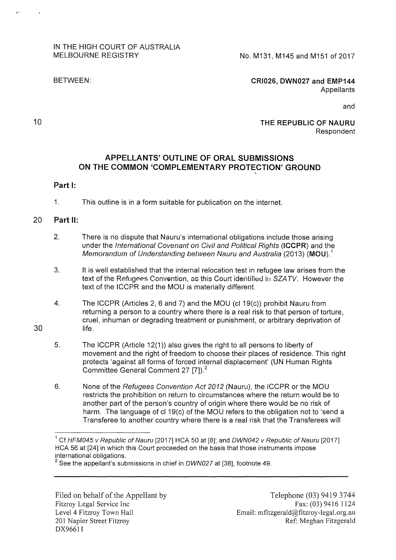## IN THE HIGH COURT OF AUSTRALIA MELBOURNE REGISTRY

No. M131, M145 and M151 of 2017

BETWEEN:

**CRI026, DWN027 and EMP144**  Appellants

**THE REPUBLIC OF NAURU**  Respondent

and

## **APPELLANTS' OUTLINE OF ORAL SUBMISSIONS ON THE COMMON 'COMPLEMENTARY PROTECTION' GROUND**

%

## **Part 1:**

1. This outline is in a form suitable for publication on the internet.

## 20 **Part 11:**

30

10

الاتفا

 $\mathbf{A}$ 

- 2. There is no dispute that Nauru's international obligations include those arising under the International Covenant on Civil and Political Rights **(ICCPR)** and the Memorandum of Understanding between Nauru and Australia (2013) **(MOU). <sup>1</sup>**
- 3. lt is well established that the internal relocation test in refugee law arises from the text of the Refugees Convention, as this Court identified in *SZATV*. However the text of the ICCPR and the MOU is materially different.
- 4. The ICCPR (Articles 2, 6 and 7) and the MOU (cl 19(c)) prohibit Nauru from returning a person to a country where there is a real risk to that person of torture, cruel, inhuman or degrading treatment or punishment, or arbitrary deprivation of life.
- 5. The ICCPR (Article 12(1)) also gives the right to all persons to liberty of movement and the right of freedom to choose their places of residence. This right protects 'against all forms of forced internal displacement' (UN Human Rights Committee General Comment 27 [7]). <sup>2</sup>
- 6. None of the Refugees Convention Act 2012 (Nauru), the ICCPR or the MOU restricts the prohibition on return to circumstances where the return would be to another part of the person's country of origin where there would be no risk of harm. The language of cl 19(c) of the MOU refers to the obligation not to 'send a Transferee to another country where there is a real risk that the Transferees will

Filed on behalf of the Appellant by Fitzroy Legal Service Inc Level 4 Fitzroy Town Hall 201 Napier Street Fitzroy DX96611

<sup>&</sup>lt;sup>1</sup> Cf HFM045 v Republic of Nauru [2017] HCA 50 at [8]; and DWN042 v Republic of Nauru [2017] HCA 56 at [24] in which this Court proceeded on the basis that those instruments impose international obligations.

<sup>&</sup>lt;sup>2</sup> See the appellant's submissions in chief in DWN027 at [38], footnote 49.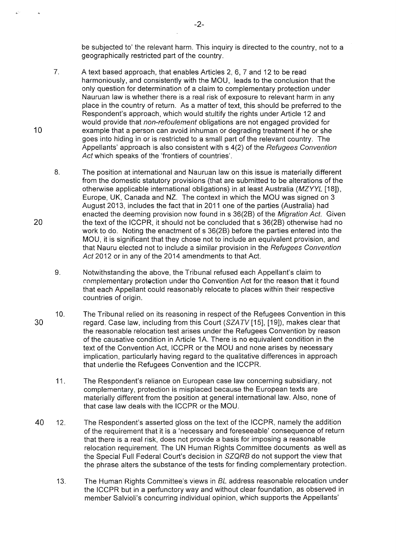be subjected to' the relevant harm. This inquiry is directed to the country, not to a geographically restricted part of the country.

- 7. A text based approach, that enables Articles 2, 6, 7 and 12 to be read harmoniously, and consistently with the MOU, leads to the conclusion that the only question for determination of a claim to complementary protection under Nauruan law is whether there is a real risk of exposure to relevant harm in any place in the country of return. As a matter of text, this should be preferred to the Respondent's approach, which would stultify the rights under Article 12 and would provide that non-refoulement obligations are not engaged provided for example that a person can avoid inhuman or degrading treatment if he or she goes into hiding in or is restricted to a small part of the relevant country. The Appellants' approach is also consistent with s 4(2) of the Refugees Convention Act which speaks of the 'frontiers of countries'.
- 8. The position at international and Nauruan law on this issue is materially different from the domestic statutory provisions (that are submitted to be alterations of the otherwise applicable international obligations) in at least Australia (MZYYL [18]), Europe, UK, Canada and NZ. The context in which the MOU was signed on 3 August 2013, includes the fact that in 2011 one of the parties (Australia) had enacted the deeming provision now found in s 36(28) of the Migration Act. Given the text of the ICCPR, it should not be concluded that s 36(28) otherwise had no work to do. Noting the enactment of s 36(28) before the parties entered into the MOU, it is significant that they chose not to include an equivalent provision, and that Nauru elected not to include a similar provision in the Refugees Convention Act 2012 or in any of the 2014 amendments to that Act.
- 9. Notwithstanding the above, the Tribunal refused each Appellant's claim to r.omplementary protection under the Convention Act for the reason that it found that each Appellant could reasonably relocate to places within their respective countries of origin.
- 30 10. The Tribunal relied on its reasoning in respect of the Refugees Convention in this regard. Case law, including from this Court (SZATV[15], [19]), makes clear that the reasonable relocation test arises under the Refugees Convention by reason of the causative condition in Article 1A. There is no equivalent condition in the text of the Convention Act, ICCPR or the MOU and none arises by necessary implication, particularly having regard to the qualitative differences in approach that underlie the Refugees Convention and the ICCPR.
	- 11. The Respondent's reliance on European case law concerning subsidiary, not complementary, protection is misplaced because the European texts are materially different from the position at general international law. Also, none of that case law deals with the ICCPR or the MOU.
- 40 12. The Respondent's asserted gloss on the text of the ICCPR, namely the addition of the requirement that it is a 'necessary and foreseeable' consequence of return that there is a real risk, does not provide a basis for imposing a reasonable relocation requirement. The UN Human Rights Committee documents as well as the Special Full Federal Court's decision in SZQRB do not support the view that the phrase alters the substance of the tests for finding complementary protection.
	- 13. The Human Rights Committee's views in BL address reasonable relocation under the ICCPR but in a perfunctory way and without clear foundation, as observed in member Salvioli's concurring individual opinion, which supports the Appellants'

20

10